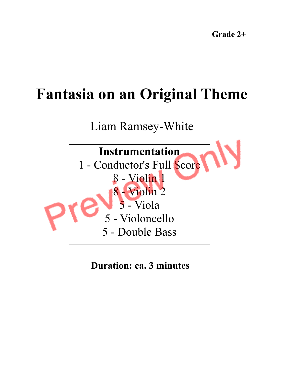# **Fantasia on an Original Theme**

Liam Ramsey-White



**Duration: ca. 3 minutes**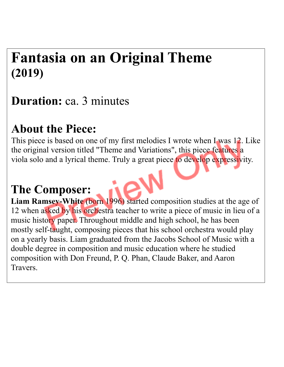## **Fantasia on an Original Theme (2019)**

### **Duration:** ca. 3 minutes

#### **About the Piece:**

This piece is based on one of my first melodies I wrote when I was 12. Like the original version titled "Theme and Variations" , this piece features a viola solo and a lyrical theme. Truly a great piece to develop expressivity.

#### **The Composer:**

**Liam Ramsey-White** (born 1996) started composition studies at the age of 12 when asked by his orchestra teacher to write a piece of music in lieu of a music history paper. Throughout middle and high school, he has been mostly self-taught, composing pieces that his school orchestra would play on a yearly basis. Liam graduated from the Jacobs School of Music with a double degree in composition and music education where he studied composition with Don Freund, P. Q. Phan, Claude Baker, and Aaron Travers.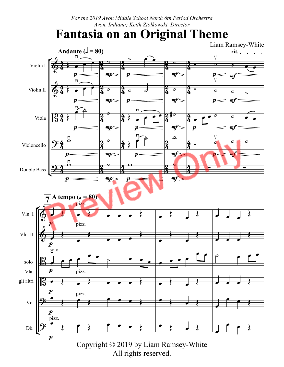*For the 2019 Avon Middle School North 6th Period Orchestra Avon, Indiana; Keith Ziolkowski, Director*

#### **Fantasia on an Original Theme**

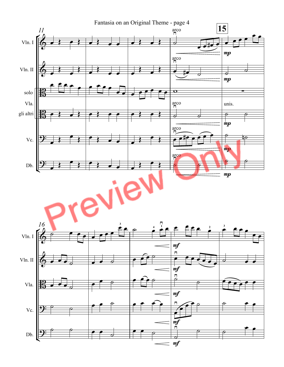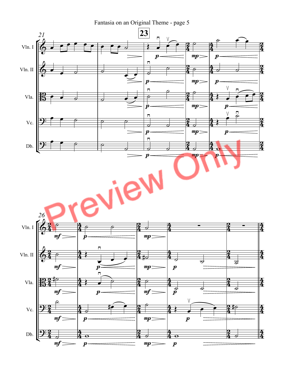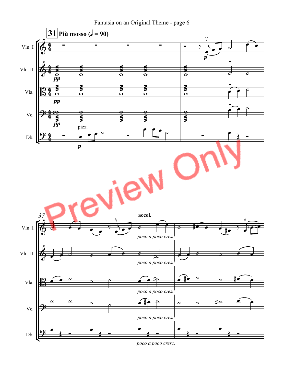Fantasia on an Original Theme - page 6



*poco a poco cresc.*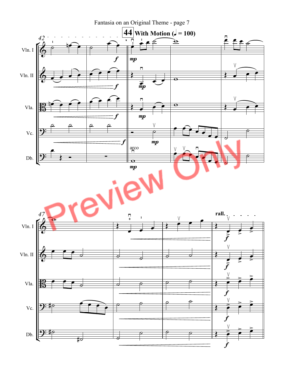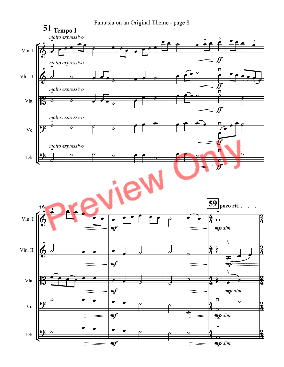